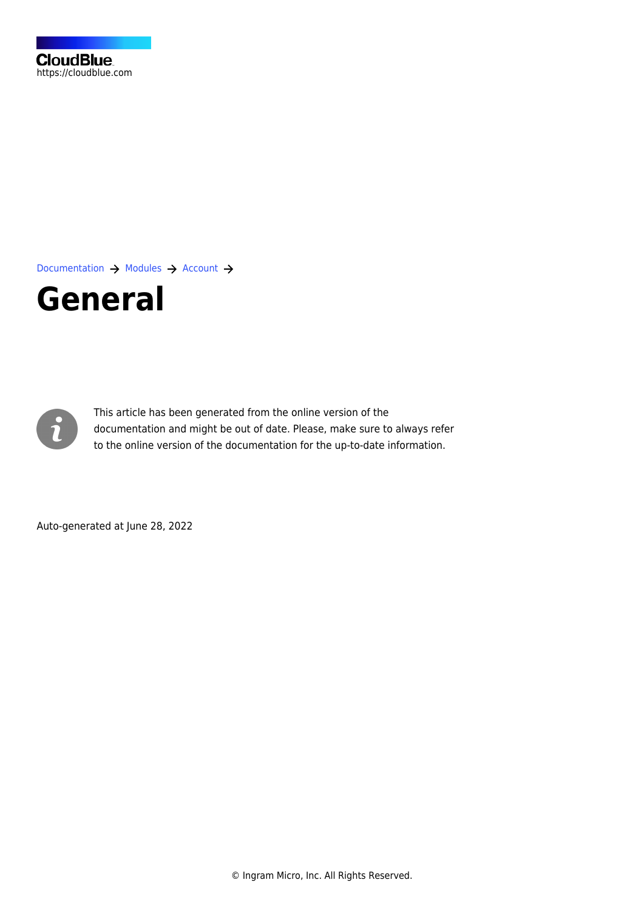[Documentation](https://connect.cloudblue.com/documentation)  $\rightarrow$  [Modules](https://connect.cloudblue.com/community/modules/)  $\rightarrow$  [Account](https://connect.cloudblue.com/community/modules/account/)  $\rightarrow$ 

# **[General](https://connect.cloudblue.com/community/modules/account/general/)**



This article has been generated from the online version of the documentation and might be out of date. Please, make sure to always refer to the online version of the documentation for the up-to-date information.

Auto-generated at June 28, 2022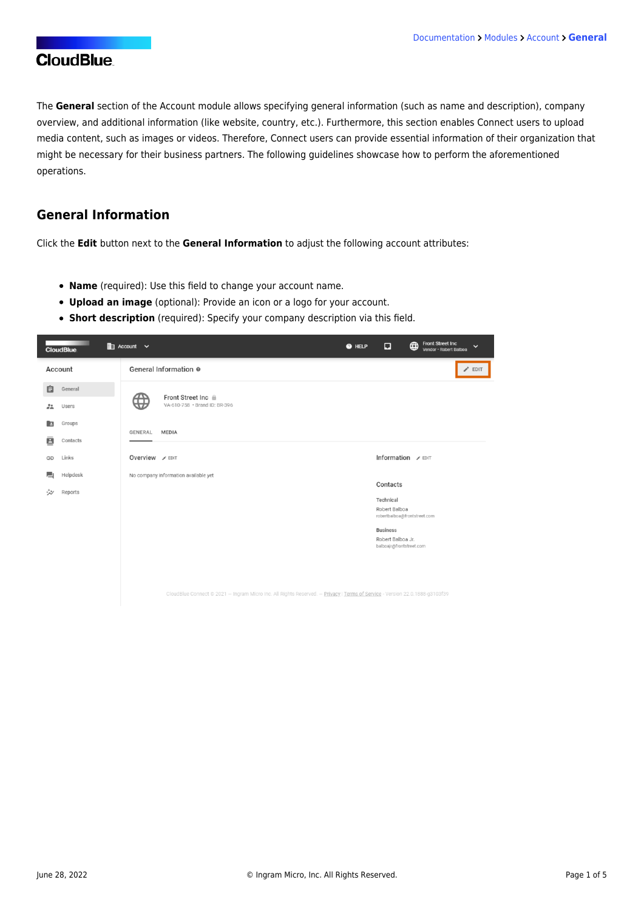The **General** section of the Account module allows specifying general information (such as name and description), company overview, and additional information (like website, country, etc.). Furthermore, this section enables Connect users to upload media content, such as images or videos. Therefore, Connect users can provide essential information of their organization that might be necessary for their business partners. The following guidelines showcase how to perform the aforementioned operations.

#### **General Information**

Click the **Edit** button next to the **General Information** to adjust the following account attributes:

- **Name** (required): Use this field to change your account name.
- **Upload an image** (optional): Provide an icon or a logo for your account.
- **Short description** (required): Specify your company description via this field.

|        | <b>CloudBlue</b>  | $\mathbb{H}$ Account $\vee$<br>@ HELP                                                                                       | Ω                                                                | <b>Front Street Inc</b><br>$\bigoplus$<br>$\checkmark$<br>Vendor · Robert Balboa |
|--------|-------------------|-----------------------------------------------------------------------------------------------------------------------------|------------------------------------------------------------------|----------------------------------------------------------------------------------|
|        | Account           | General Information ®                                                                                                       |                                                                  | $\angle$ EDIT                                                                    |
| 自      | General           | Front Street Inc @                                                                                                          |                                                                  |                                                                                  |
| 22     | Users             | ₩<br>VA-610-758 · Brand ID: BR-396                                                                                          |                                                                  |                                                                                  |
| R      | Groups            | GENERAL<br><b>MEDIA</b>                                                                                                     |                                                                  |                                                                                  |
| Ξ      | Contacts<br>Links | Overview / EDIT                                                                                                             | Information / EDIT                                               |                                                                                  |
| ⊕<br>▄ | Helpdesk          | No company information available yet                                                                                        |                                                                  |                                                                                  |
| ₩      | Reports           |                                                                                                                             | Contacts                                                         |                                                                                  |
|        |                   |                                                                                                                             | Technical<br>Robert Balboa<br>robertbalboa@frontstreet.com       |                                                                                  |
|        |                   |                                                                                                                             | <b>Business</b><br>Robert Balboa Jr.<br>balboajr@frontstreet.com |                                                                                  |
|        |                   |                                                                                                                             |                                                                  |                                                                                  |
|        |                   | CloudBlue Connect @ 2021 - Ingram Micro Inc. All Rights Reserved. - Privacy   Terms of Service - Version 22.0.1888-g3103f39 |                                                                  |                                                                                  |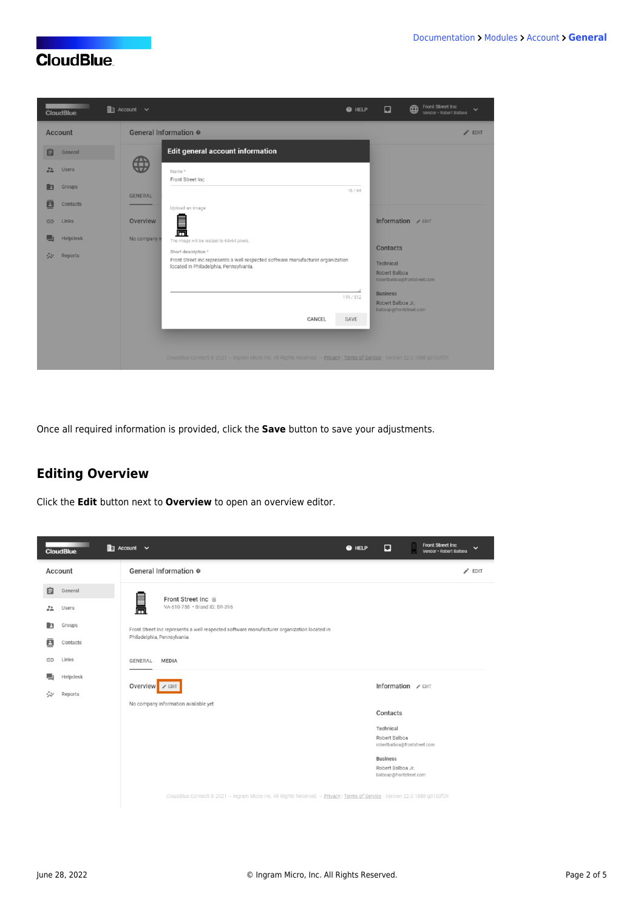

Once all required information is provided, click the **Save** button to save your adjustments.

## **Editing Overview**

Click the **Edit** button next to **Overview** to open an overview editor.

| <b>CloudBlue</b>                                 | $\mathbb{H}$ Account $\vee$                                                                                                 | @ HELP | ⊡                                                                | <b>Front Street Inc</b><br>$\checkmark$<br>Vendor - Robert Balboa |
|--------------------------------------------------|-----------------------------------------------------------------------------------------------------------------------------|--------|------------------------------------------------------------------|-------------------------------------------------------------------|
| Account                                          | General Information @                                                                                                       |        |                                                                  | $\triangle$ EDIT                                                  |
| 自<br>General<br>$\frac{24}{100}$<br><b>Users</b> | ┋<br>Front Street Inc @<br>VA-610-758 · Brand ID: BR-396                                                                    |        |                                                                  |                                                                   |
| Groups<br>E<br>Β<br>Contacts                     | Front Street Inc represents a well respected software manufacturer organization located in<br>Philadelphia, Pennsylvania.   |        |                                                                  |                                                                   |
| Links<br>⊕                                       | GENERAL<br>MEDIA                                                                                                            |        |                                                                  |                                                                   |
| ш<br>Helpdesk<br>Reports<br>₩                    | Overview <b>/</b> EDIT                                                                                                      |        | Information / EDIT                                               |                                                                   |
|                                                  | No company information available yet                                                                                        |        | Contacts                                                         |                                                                   |
|                                                  |                                                                                                                             |        | Technical<br>Robert Balboa<br>robertbalboa@frontstreet.com       |                                                                   |
|                                                  |                                                                                                                             |        | <b>Business</b><br>Robert Balboa Jr.<br>balboajr@frontstreet.com |                                                                   |
|                                                  | CloudBlue Connect @ 2021 - Ingram Micro Inc. All Rights Reserved. - Privacy   Terms of Service - Version 22.0.1888-g3103f39 |        |                                                                  |                                                                   |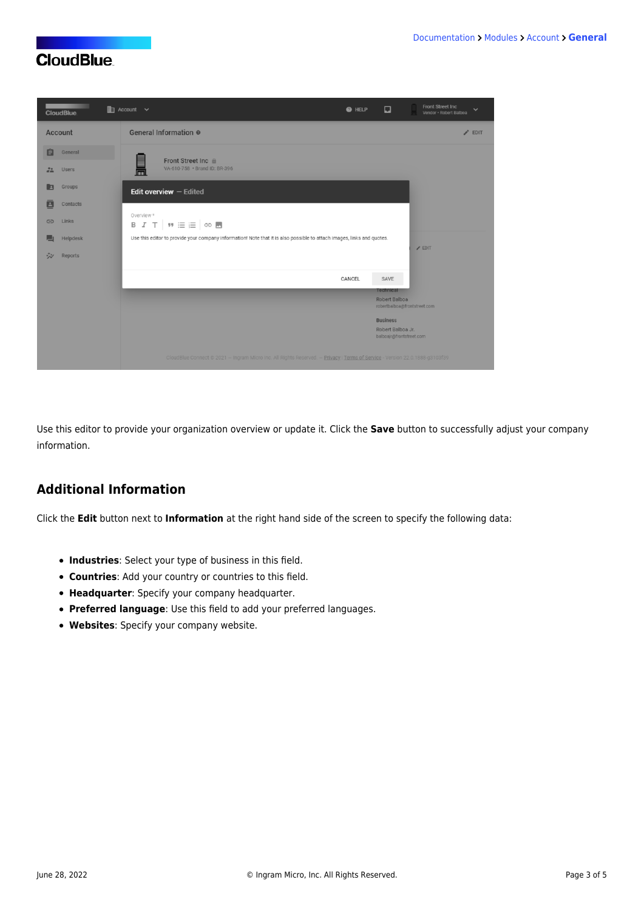| <b>CloudBlue</b>                   | $\mathbb{R}$ Account $\vee$                                                                                                 | <b>O</b> HELP | ⊡                                                                 | Front Street Inc<br>$\checkmark$<br>Vendor - Robert Balboa |
|------------------------------------|-----------------------------------------------------------------------------------------------------------------------------|---------------|-------------------------------------------------------------------|------------------------------------------------------------|
| Account                            | General Information @                                                                                                       |               |                                                                   | $\angle$ EDIT                                              |
| 自<br>General<br>22<br><b>Users</b> | Front Street Inc &<br><u>Form</u><br>VA-610-758 · Brand ID: BR-396                                                          |               |                                                                   |                                                            |
| <b>Groups</b><br>E<br>Contacts     | <b>Edit overview</b> $-$ Edited                                                                                             |               |                                                                   |                                                            |
| 日<br>Links<br>G                    | Overview *<br>B I T WEE OD                                                                                                  |               |                                                                   |                                                            |
| Helpdesk<br>囗<br>ジン<br>Reports     | Use this editor to provide your company information! Note that it is also possible to attach images, links and quotes.      |               |                                                                   | $/$ EDIT                                                   |
|                                    |                                                                                                                             | CANCEL        | SAVE                                                              |                                                            |
|                                    |                                                                                                                             |               | <b>Technical</b><br>Robert Balboa<br>robertbalboa@frontstreet.com |                                                            |
|                                    |                                                                                                                             |               | <b>Business</b><br>Robert Balboa Jr.<br>balboajr@frontstreet.com  |                                                            |
|                                    | CloudBlue Connect @ 2021 - Ingram Micro Inc. All Rights Reserved. - Privacy   Terms of Service - Version 22.0.1888-g3103f39 |               |                                                                   |                                                            |

Use this editor to provide your organization overview or update it. Click the **Save** button to successfully adjust your company information.

### **Additional Information**

Click the **Edit** button next to **Information** at the right hand side of the screen to specify the following data:

- **Industries**: Select your type of business in this field.
- **Countries**: Add your country or countries to this field.
- **Headquarter**: Specify your company headquarter.
- **Preferred language**: Use this field to add your preferred languages.
- **Websites**: Specify your company website.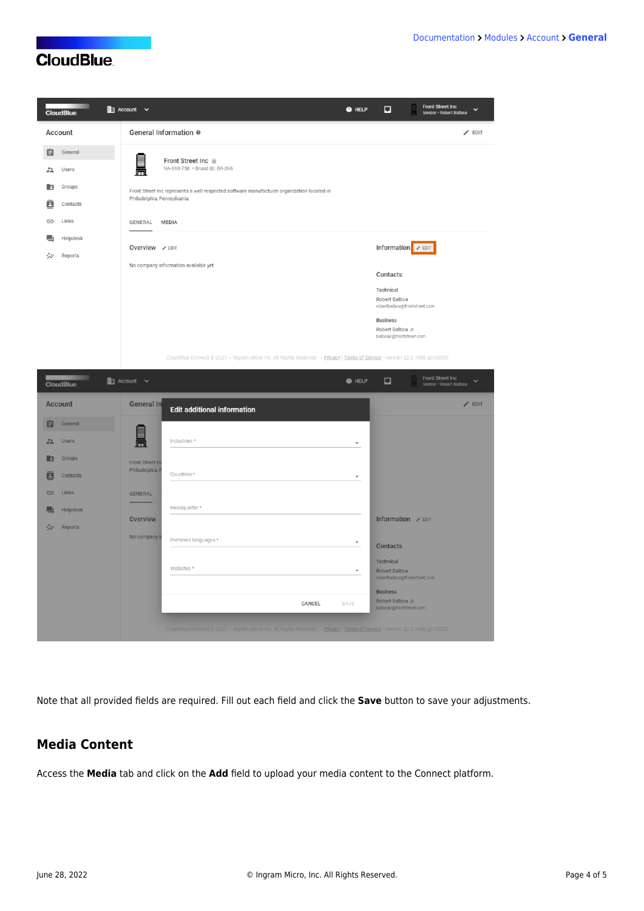| <b>CONTRACTOR</b><br><b>CloudBlue</b> | <b>Em</b> Account ∨                                                                                                       | @ HELP | $\Box$                                        | <b>Front Street Inc</b><br>$\checkmark$<br>Vendor - Robert Balboa |  |
|---------------------------------------|---------------------------------------------------------------------------------------------------------------------------|--------|-----------------------------------------------|-------------------------------------------------------------------|--|
| Account                               | General Information @                                                                                                     |        |                                               | $\blacktriangleright$ EDIT                                        |  |
| 自<br>General                          | Front Street Inc @                                                                                                        |        |                                               |                                                                   |  |
| $\frac{22}{\pi}$<br>Users             | <u>e</u><br>VA-610-758 · Brand ID: BR-396                                                                                 |        |                                               |                                                                   |  |
| Groups<br>E                           | Front Street Inc represents a well respected software manufacturer organization located in<br>Philadelphia, Pennsylvania. |        |                                               |                                                                   |  |
| ē<br>Contacts<br>Links<br>⊕           | GENERAL<br><b>MEDIA</b>                                                                                                   |        |                                               |                                                                   |  |
| Helpdesk                              |                                                                                                                           |        |                                               |                                                                   |  |
| ₩<br>Reports                          | Overview / EDIT<br>No company information available yet                                                                   |        | Information <b>/</b> EDIT                     |                                                                   |  |
|                                       |                                                                                                                           |        | Contacts                                      |                                                                   |  |
|                                       |                                                                                                                           |        | Technical<br>Robert Balboa                    |                                                                   |  |
|                                       |                                                                                                                           |        |                                               | robertbalboa@frontstreet.com                                      |  |
|                                       |                                                                                                                           |        | <b>Business</b>                               |                                                                   |  |
|                                       |                                                                                                                           |        | Robert Balboa Jr.<br>balboajr@frontstreet.com |                                                                   |  |

CloudBlue Connect @ 2021 - Ingram Micro Inc. All Rights Reserved. - Privacy | Terms of Service - Version 22.0.1888-g3103f39

| <b>CloudBlue</b>   | $\mathbb{E}$ Account $\vee$ |                                                                                                                             | <b>O</b> HELP            | Front Street Inc<br>$\Box$<br>$\overline{\phantom{a}}$<br>Vendor · Robert Balboa |
|--------------------|-----------------------------|-----------------------------------------------------------------------------------------------------------------------------|--------------------------|----------------------------------------------------------------------------------|
| Account            | General In                  | <b>Edit additional information</b>                                                                                          |                          | $\angle$ EDIT                                                                    |
| 自<br>General       |                             |                                                                                                                             |                          |                                                                                  |
| 22<br><b>Users</b> | $\frac{1}{1}$               | Industries *                                                                                                                | $\overline{\phantom{a}}$ |                                                                                  |
| Groups<br>E        | Front Street In             |                                                                                                                             |                          |                                                                                  |
| ē<br>Contacts      | Philadelphia, F             | Countries *                                                                                                                 | $\overline{\phantom{a}}$ |                                                                                  |
| Links<br>G         | <b>GENERAL</b>              |                                                                                                                             |                          |                                                                                  |
| Helpdesk           |                             | Headquarter*                                                                                                                |                          |                                                                                  |
| ジン<br>Reports      | Overview                    |                                                                                                                             |                          | Information / EDIT                                                               |
|                    | No company in               | Preferred languages *                                                                                                       | $\overline{\phantom{a}}$ | Contacts                                                                         |
|                    |                             | Websites*                                                                                                                   | $\overline{\phantom{a}}$ | Technical<br>Robert Balboa<br>robertbalboa@frontstreet.com                       |
|                    |                             |                                                                                                                             |                          | <b>Business</b><br>Robert Balboa Jr.                                             |
|                    |                             | CANCEL                                                                                                                      | SAVE                     | balboajr@frontstreet.com                                                         |
|                    |                             | CloudBlue Connect @ 2021 - Ingram Micro Inc. All Rights Reserved. - Privacy   Terms of Service - Version 22.0.1888-g3103f39 |                          |                                                                                  |

Note that all provided fields are required. Fill out each field and click the **Save** button to save your adjustments.

#### **Media Content**

Access the **Media** tab and click on the **Add** field to upload your media content to the Connect platform.